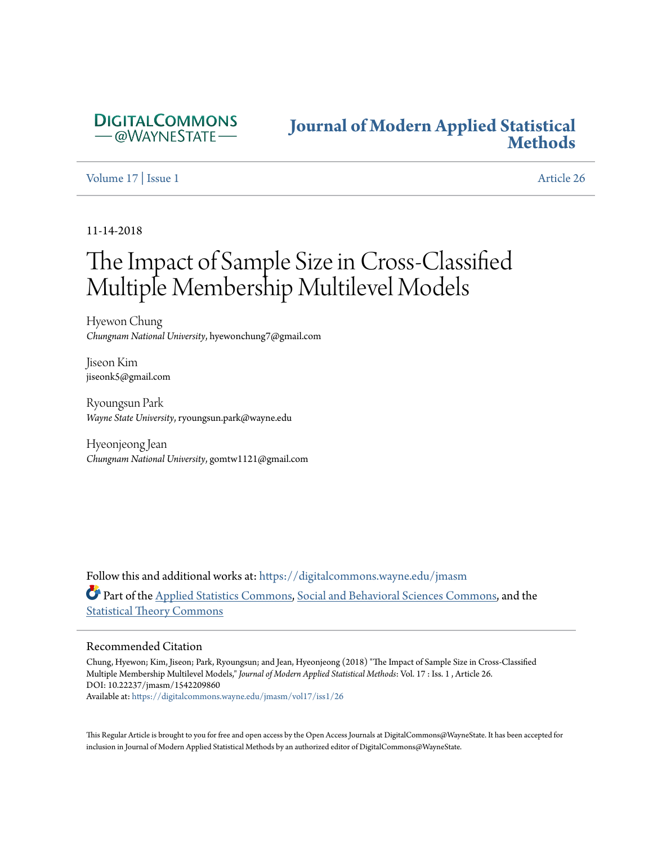

## **[Journal of Modern Applied Statistical](https://digitalcommons.wayne.edu/jmasm?utm_source=digitalcommons.wayne.edu%2Fjmasm%2Fvol17%2Fiss1%2F26&utm_medium=PDF&utm_campaign=PDFCoverPages) [Methods](https://digitalcommons.wayne.edu/jmasm?utm_source=digitalcommons.wayne.edu%2Fjmasm%2Fvol17%2Fiss1%2F26&utm_medium=PDF&utm_campaign=PDFCoverPages)**

#### [Volume 17](https://digitalcommons.wayne.edu/jmasm/vol17?utm_source=digitalcommons.wayne.edu%2Fjmasm%2Fvol17%2Fiss1%2F26&utm_medium=PDF&utm_campaign=PDFCoverPages) | [Issue 1](https://digitalcommons.wayne.edu/jmasm/vol17/iss1?utm_source=digitalcommons.wayne.edu%2Fjmasm%2Fvol17%2Fiss1%2F26&utm_medium=PDF&utm_campaign=PDFCoverPages) [Article 26](https://digitalcommons.wayne.edu/jmasm/vol17/iss1/26?utm_source=digitalcommons.wayne.edu%2Fjmasm%2Fvol17%2Fiss1%2F26&utm_medium=PDF&utm_campaign=PDFCoverPages)

11-14-2018

# The Impact of Sample Size in Cross-Classified Multiple Membership Multilevel Models

Hyewon Chung *Chungnam National University*, hyewonchung7@gmail.com

Jiseon Kim jiseonk5@gmail.com

Ryoungsun Park *Wayne State University*, ryoungsun.park@wayne.edu

Hyeonjeong Jean *Chungnam National University*, gomtw1121@gmail.com

Follow this and additional works at: [https://digitalcommons.wayne.edu/jmasm](https://digitalcommons.wayne.edu/jmasm?utm_source=digitalcommons.wayne.edu%2Fjmasm%2Fvol17%2Fiss1%2F26&utm_medium=PDF&utm_campaign=PDFCoverPages) Part of the [Applied Statistics Commons](http://network.bepress.com/hgg/discipline/209?utm_source=digitalcommons.wayne.edu%2Fjmasm%2Fvol17%2Fiss1%2F26&utm_medium=PDF&utm_campaign=PDFCoverPages), [Social and Behavioral Sciences Commons,](http://network.bepress.com/hgg/discipline/316?utm_source=digitalcommons.wayne.edu%2Fjmasm%2Fvol17%2Fiss1%2F26&utm_medium=PDF&utm_campaign=PDFCoverPages) and the [Statistical Theory Commons](http://network.bepress.com/hgg/discipline/214?utm_source=digitalcommons.wayne.edu%2Fjmasm%2Fvol17%2Fiss1%2F26&utm_medium=PDF&utm_campaign=PDFCoverPages)

#### Recommended Citation

Chung, Hyewon; Kim, Jiseon; Park, Ryoungsun; and Jean, Hyeonjeong (2018) "The Impact of Sample Size in Cross-Classified Multiple Membership Multilevel Models," *Journal of Modern Applied Statistical Methods*: Vol. 17 : Iss. 1 , Article 26. DOI: 10.22237/jmasm/1542209860 Available at: [https://digitalcommons.wayne.edu/jmasm/vol17/iss1/26](https://digitalcommons.wayne.edu/jmasm/vol17/iss1/26?utm_source=digitalcommons.wayne.edu%2Fjmasm%2Fvol17%2Fiss1%2F26&utm_medium=PDF&utm_campaign=PDFCoverPages)

This Regular Article is brought to you for free and open access by the Open Access Journals at DigitalCommons@WayneState. It has been accepted for inclusion in Journal of Modern Applied Statistical Methods by an authorized editor of DigitalCommons@WayneState.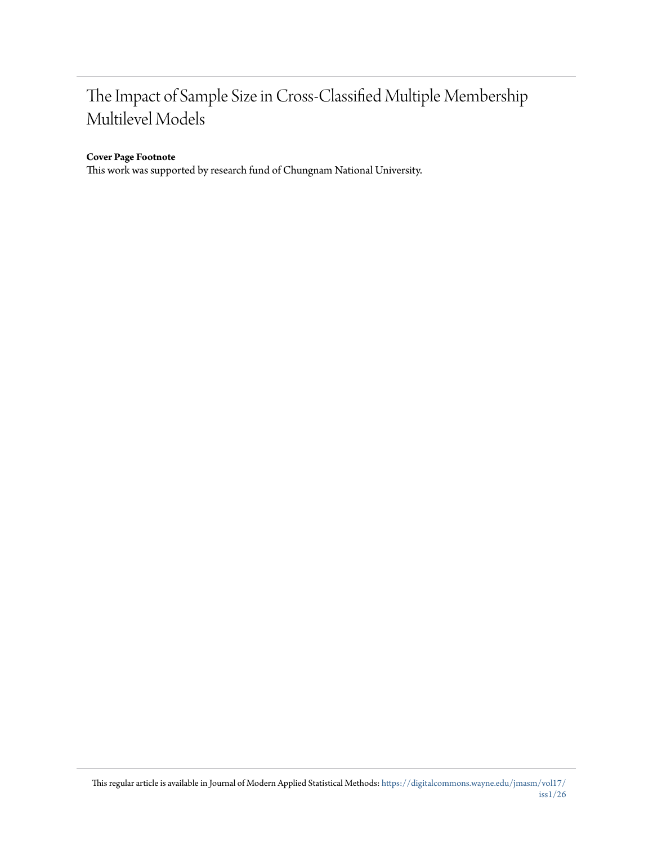## The Impact of Sample Size in Cross-Classified Multiple Membership Multilevel Models

#### **Cover Page Footnote**

This work was supported by research fund of Chungnam National University.

This regular article is available in Journal of Modern Applied Statistical Methods: [https://digitalcommons.wayne.edu/jmasm/vol17/](https://digitalcommons.wayne.edu/jmasm/vol17/iss1/26?utm_source=digitalcommons.wayne.edu%2Fjmasm%2Fvol17%2Fiss1%2F26&utm_medium=PDF&utm_campaign=PDFCoverPages) [iss1/26](https://digitalcommons.wayne.edu/jmasm/vol17/iss1/26?utm_source=digitalcommons.wayne.edu%2Fjmasm%2Fvol17%2Fiss1%2F26&utm_medium=PDF&utm_campaign=PDFCoverPages)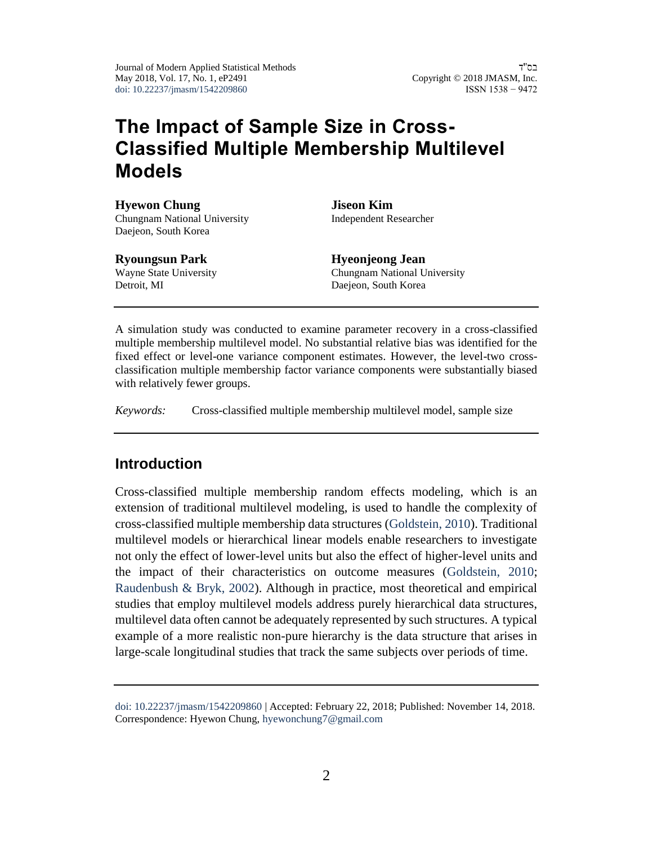Journal of Modern Applied Statistical Methods May 2018, Vol. 17, No. 1, eP2491 [doi: 10.22237/jmasm/1542209860](https://dx.doi.org/10.22237/jmasm/1542209860)

בס"ד Copyright © 2018 JMASM, Inc. ISSN 1538 − 9472

## **The Impact of Sample Size in Cross-Classified Multiple Membership Multilevel Models**

**Hyewon Chung** Chungnam National University Daejeon, South Korea

#### **Ryoungsun Park**

Wayne State University Detroit, MI

**Jiseon Kim** Independent Researcher

**Hyeonjeong Jean** Chungnam National University Daejeon, South Korea

A simulation study was conducted to examine parameter recovery in a cross-classified multiple membership multilevel model. No substantial relative bias was identified for the fixed effect or level-one variance component estimates. However, the level-two crossclassification multiple membership factor variance components were substantially biased with relatively fewer groups.

*Keywords:* Cross-classified multiple membership multilevel model, sample size

## **Introduction**

Cross-classified multiple membership random effects modeling, which is an extension of traditional multilevel modeling, is used to handle the complexity of cross-classified multiple membership data structures [\(Goldstein, 2010\)](#page-20-0). Traditional multilevel models or hierarchical linear models enable researchers to investigate not only the effect of lower-level units but also the effect of higher-level units and the impact of their characteristics on outcome measures [\(Goldstein, 2010;](#page-20-0) [Raudenbush & Bryk, 2002\)](#page-22-0). Although in practice, most theoretical and empirical studies that employ multilevel models address purely hierarchical data structures, multilevel data often cannot be adequately represented by such structures. A typical example of a more realistic non-pure hierarchy is the data structure that arises in large-scale longitudinal studies that track the same subjects over periods of time.

[doi: 10.22237/jmasm/1542209860](https://dx.doi.org/10.22237/jmasm/1542209860) | Accepted: February 22, 2018; Published: November 14, 2018. Correspondence: Hyewon Chung, [hyewonchung7@gmail.com](mailto:hyewonchung7@gmail.com)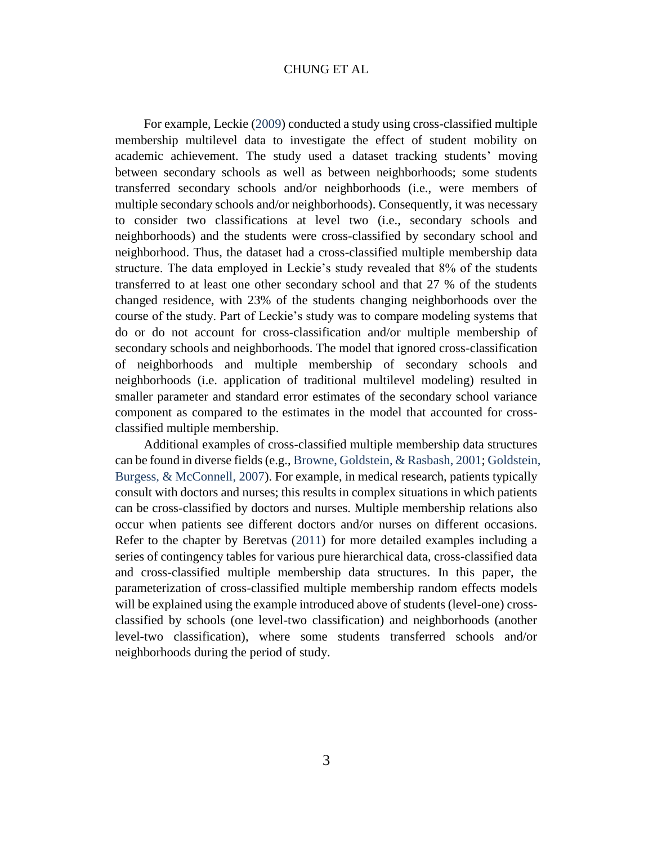For example, Leckie [\(2009\)](#page-21-0) conducted a study using cross-classified multiple membership multilevel data to investigate the effect of student mobility on academic achievement. The study used a dataset tracking students' moving between secondary schools as well as between neighborhoods; some students transferred secondary schools and/or neighborhoods (i.e., were members of multiple secondary schools and/or neighborhoods). Consequently, it was necessary to consider two classifications at level two (i.e., secondary schools and neighborhoods) and the students were cross-classified by secondary school and neighborhood. Thus, the dataset had a cross-classified multiple membership data structure. The data employed in Leckie's study revealed that 8% of the students transferred to at least one other secondary school and that 27 % of the students changed residence, with 23% of the students changing neighborhoods over the course of the study. Part of Leckie's study was to compare modeling systems that do or do not account for cross-classification and/or multiple membership of secondary schools and neighborhoods. The model that ignored cross-classification of neighborhoods and multiple membership of secondary schools and neighborhoods (i.e. application of traditional multilevel modeling) resulted in smaller parameter and standard error estimates of the secondary school variance component as compared to the estimates in the model that accounted for crossclassified multiple membership.

Additional examples of cross-classified multiple membership data structures can be found in diverse fields (e.g., [Browne, Goldstein, & Rasbash, 2001;](#page-20-1) [Goldstein,](#page-20-2)  [Burgess, & McConnell, 2007\)](#page-20-2). For example, in medical research, patients typically consult with doctors and nurses; this results in complex situations in which patients can be cross-classified by doctors and nurses. Multiple membership relations also occur when patients see different doctors and/or nurses on different occasions. Refer to the chapter by Beretvas [\(2011\)](#page-20-3) for more detailed examples including a series of contingency tables for various pure hierarchical data, cross-classified data and cross-classified multiple membership data structures. In this paper, the parameterization of cross-classified multiple membership random effects models will be explained using the example introduced above of students (level-one) crossclassified by schools (one level-two classification) and neighborhoods (another level-two classification), where some students transferred schools and/or neighborhoods during the period of study.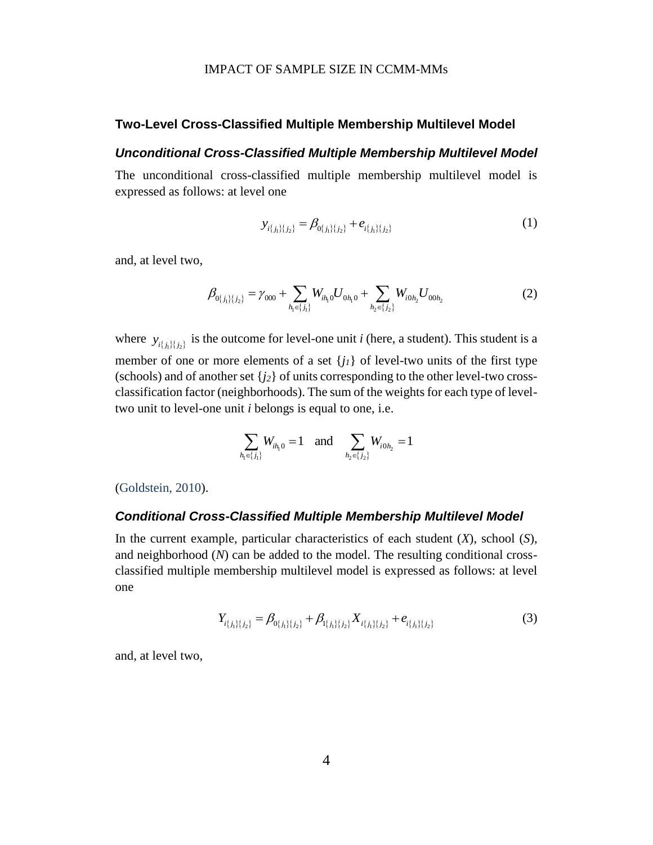#### **Two-Level Cross-Classified Multiple Membership Multilevel Model**

#### *Unconditional Cross-Classified Multiple Membership Multilevel Model*

The unconditional cross-classified multiple membership multilevel model is expressed as follows: at level one

$$
y_{i\{j_1\}\{j_2\}} = \beta_{0\{j_1\}\{j_2\}} + e_{i\{j_1\}\{j_2\}}
$$
 (1)

and, at level two,

$$
\beta_{0\{j_1\}\{j_2\}} = \gamma_{000} + \sum_{h_1 \in \{j_1\}} W_{ih_1 0} U_{0h_1 0} + \sum_{h_2 \in \{j_2\}} W_{i0h_2} U_{00h_2}
$$
\n(2)

where  $y_{i\{j_i\}\{j_2\}}$  is the outcome for level-one unit *i* (here, a student). This student is a member of one or more elements of a set  $\{j_l\}$  of level-two units of the first type (schools) and of another set  ${j_2}$  of units corresponding to the other level-two crossclassification factor (neighborhoods). The sum of the weights for each type of leveltwo unit to level-one unit *i* belongs is equal to one, i.e.

$$
\sum_{h_1 \in \{j_1\}} W_{ih_1 0} = 1 \quad \text{and} \quad \sum_{h_2 \in \{j_2\}} W_{i0h_2} = 1
$$

[\(Goldstein, 2010\)](#page-20-0).

#### *Conditional Cross-Classified Multiple Membership Multilevel Model*

In the current example, particular characteristics of each student (*X*), school (*S*), and neighborhood (*N*) can be added to the model. The resulting conditional crossclassified multiple membership multilevel model is expressed as follows: at level one

<span id="page-4-0"></span>
$$
Y_{i\{j_1\}\{j_2\}} = \beta_{0\{j_1\}\{j_2\}} + \beta_{1\{j_1\}\{j_2\}} X_{i\{j_1\}\{j_2\}} + e_{i\{j_1\}\{j_2\}}
$$
(3)

and, at level two,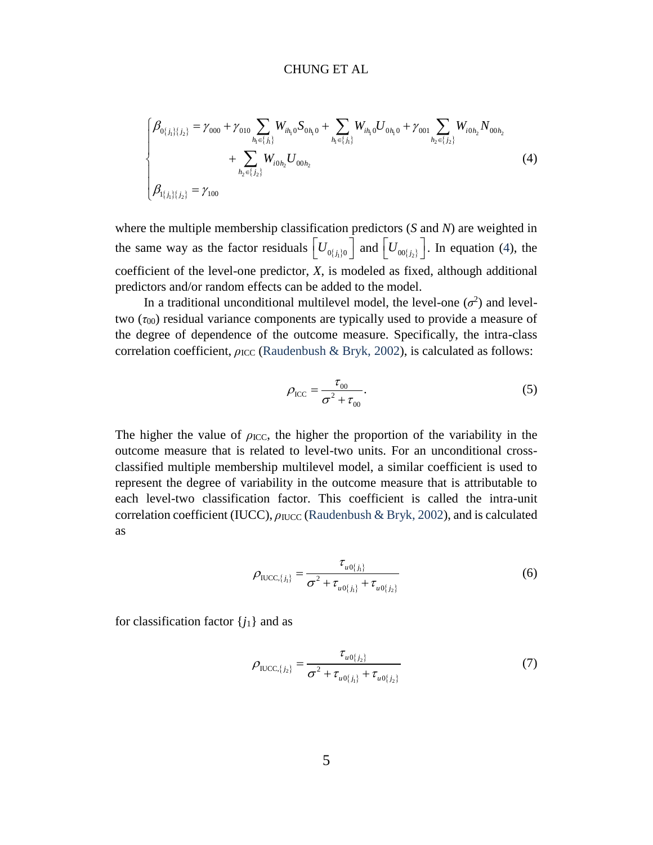CHUNG ET AL  
\n
$$
\beta_{0{_{j_1\}}{_{j_2\}}}= \gamma_{000} + \gamma_{010} \sum_{h_1 \in \{j_1\}} W_{ih_1 0} S_{0h_1 0} + \sum_{h_1 \in \{j_1\}} W_{ih_1 0} U_{0h_1 0} + \gamma_{001} \sum_{h_2 \in \{j_2\}} W_{i0h_2} N_{00h_2} + \sum_{h_2 \in \{j_2\}} W_{i0h_2} U_{00h_2}
$$
\n(4)

where the multiple membership classification predictors (*S* and *N*) are weighted in the same way as the factor residuals  $\left[ U_{0,j_1 j_0} \right]$  and  $\left[ U_{00,j_2 j_1} \right]$ . In equation [\(4\)](#page-5-0), the coefficient of the level-one predictor, *X*, is modeled as fixed, although additional predictors and/or random effects can be added to the model.

In a traditional unconditional multilevel model, the level-one  $(\sigma^2)$  and leveltwo  $(\tau_{00})$  residual variance components are typically used to provide a measure of the degree of dependence of the outcome measure. Specifically, the intra-class correlation coefficient, *ρ*<sub>ICC</sub> [\(Raudenbush & Bryk, 2002\)](#page-22-0), is calculated as follows:

<span id="page-5-0"></span>
$$
\rho_{\text{ICC}} = \frac{\tau_{00}}{\sigma^2 + \tau_{00}}.
$$
\n(5)

The higher the value of  $\rho_{\text{ICC}}$ , the higher the proportion of the variability in the outcome measure that is related to level-two units. For an unconditional crossclassified multiple membership multilevel model, a similar coefficient is used to represent the degree of variability in the outcome measure that is attributable to each level-two classification factor. This coefficient is called the intra-unit correlation coefficient (IUCC),  $ρ_{\text{IUCC}}$  [\(Raudenbush & Bryk, 2002\)](#page-22-0), and is calculated as

$$
\rho_{\text{UCC},\{j_1\}} = \frac{\tau_{u0\{j_1\}}}{\sigma^2 + \tau_{u0\{j_1\}} + \tau_{u0\{j_2\}}}
$$
(6)

for classification factor  ${j_1}$  and as

$$
\rho_{\text{UCC},\{j_2\}} = \frac{\tau_{u0\{j_2\}}}{\sigma^2 + \tau_{u0\{j_1\}} + \tau_{u0\{j_2\}}}
$$
(7)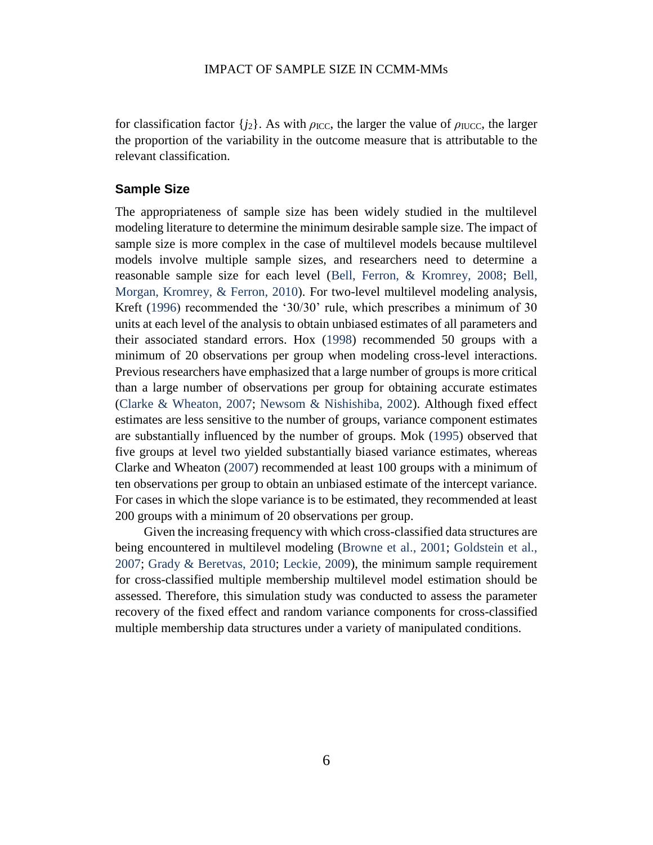for classification factor  ${j_2}$ . As with  $\rho_{\text{ICC}}$ , the larger the value of  $\rho_{\text{IUCC}}$ , the larger the proportion of the variability in the outcome measure that is attributable to the relevant classification.

#### **Sample Size**

The appropriateness of sample size has been widely studied in the multilevel modeling literature to determine the minimum desirable sample size. The impact of sample size is more complex in the case of multilevel models because multilevel models involve multiple sample sizes, and researchers need to determine a reasonable sample size for each level [\(Bell, Ferron, & Kromrey, 2008;](#page-19-0) [Bell,](#page-19-1)  [Morgan, Kromrey, & Ferron, 2010\)](#page-19-1). For two-level multilevel modeling analysis, Kreft [\(1996\)](#page-21-1) recommended the '30/30' rule, which prescribes a minimum of 30 units at each level of the analysis to obtain unbiased estimates of all parameters and their associated standard errors. Hox [\(1998\)](#page-20-4) recommended 50 groups with a minimum of 20 observations per group when modeling cross-level interactions. Previous researchers have emphasized that a large number of groups is more critical than a large number of observations per group for obtaining accurate estimates (Clarke & [Wheaton, 2007;](#page-20-5) [Newsom & Nishishiba, 2002\)](#page-21-2). Although fixed effect estimates are less sensitive to the number of groups, variance component estimates are substantially influenced by the number of groups. Mok [\(1995\)](#page-21-3) observed that five groups at level two yielded substantially biased variance estimates, whereas Clarke and Wheaton [\(2007\)](#page-20-5) recommended at least 100 groups with a minimum of ten observations per group to obtain an unbiased estimate of the intercept variance. For cases in which the slope variance is to be estimated, they recommended at least 200 groups with a minimum of 20 observations per group.

Given the increasing frequency with which cross-classified data structures are being encountered in multilevel modeling (Browne [et al., 2001;](#page-20-1) [Goldstein et al.,](#page-20-2)  [2007;](#page-20-2) [Grady & Beretvas, 2010;](#page-20-6) [Leckie, 2009\)](#page-21-0), the minimum sample requirement for cross-classified multiple membership multilevel model estimation should be assessed. Therefore, this simulation study was conducted to assess the parameter recovery of the fixed effect and random variance components for cross-classified multiple membership data structures under a variety of manipulated conditions.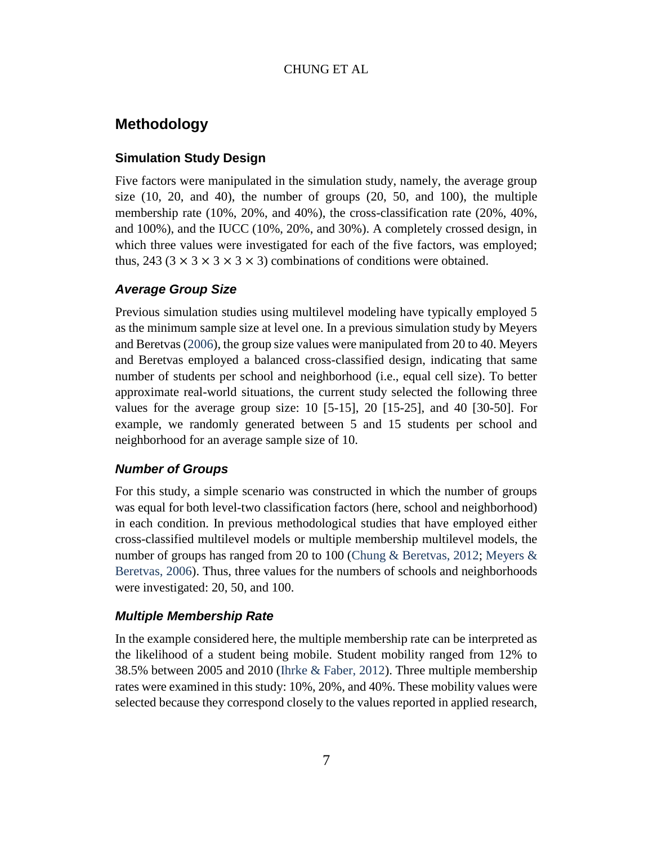## **Methodology**

### **Simulation Study Design**

Five factors were manipulated in the simulation study, namely, the average group size  $(10, 20, \text{ and } 40)$ , the number of groups  $(20, 50, \text{ and } 100)$ , the multiple membership rate (10%, 20%, and 40%), the cross-classification rate (20%, 40%, and 100%), and the IUCC (10%, 20%, and 30%). A completely crossed design, in which three values were investigated for each of the five factors, was employed; thus, 243 (3  $\times$  3  $\times$  3  $\times$  3  $\times$  3) combinations of conditions were obtained.

#### *Average Group Size*

Previous simulation studies using multilevel modeling have typically employed 5 as the minimum sample size at level one. In a previous simulation study by Meyers and Beretvas [\(2006\)](#page-21-4), the group size values were manipulated from 20 to 40. Meyers and Beretvas employed a balanced cross-classified design, indicating that same number of students per school and neighborhood (i.e., equal cell size). To better approximate real-world situations, the current study selected the following three values for the average group size:  $10$  [5-15],  $20$  [15-25], and 40 [30-50]. For example, we randomly generated between 5 and 15 students per school and neighborhood for an average sample size of 10.

#### *Number of Groups*

For this study, a simple scenario was constructed in which the number of groups was equal for both level-two classification factors (here, school and neighborhood) in each condition. In previous methodological studies that have employed either cross-classified multilevel models or multiple membership multilevel models, the number of groups has ranged from 20 to 100 [\(Chung & Beretvas, 2012;](#page-20-7) [Meyers &](#page-21-4)  [Beretvas, 2006\)](#page-21-4). Thus, three values for the numbers of schools and neighborhoods were investigated: 20, 50, and 100.

## *Multiple Membership Rate*

In the example considered here, the multiple membership rate can be interpreted as the likelihood of a student being mobile. Student mobility ranged from 12% to 38.5% between 2005 and 2010 [\(Ihrke & Faber, 2012\)](#page-21-5). Three multiple membership rates were examined in this study: 10%, 20%, and 40%. These mobility values were selected because they correspond closely to the values reported in applied research,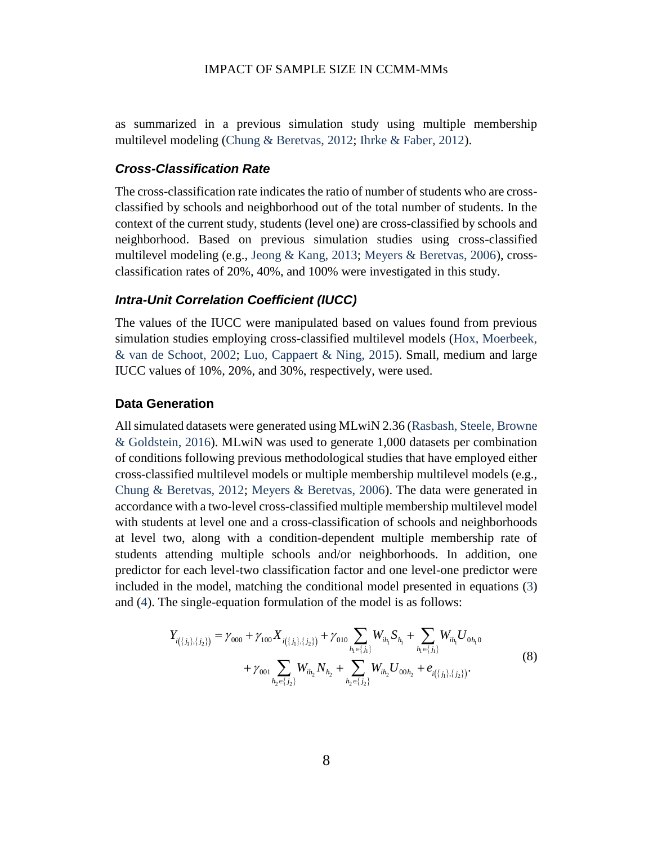as summarized in a previous simulation study using multiple membership multilevel modeling [\(Chung & Beretvas, 2012;](#page-20-7) [Ihrke & Faber, 2012\)](#page-21-5).

#### *Cross-Classification Rate*

The cross-classification rate indicates the ratio of number of students who are crossclassified by schools and neighborhood out of the total number of students. In the context of the current study, students (level one) are cross-classified by schools and neighborhood. Based on previous simulation studies using cross-classified multilevel modeling (e.g., [Jeong & Kang, 2013;](#page-21-6) [Meyers & Beretvas, 2006\)](#page-21-4), crossclassification rates of 20%, 40%, and 100% were investigated in this study.

#### *Intra-Unit Correlation Coefficient (IUCC)*

The values of the IUCC were manipulated based on values found from previous simulation studies employing cross-classified multilevel models [\(Hox, Moerbeek,](#page-21-7)  [& van de Schoot, 2002;](#page-21-7) [Luo, Cappaert & Ning, 2015\)](#page-21-8). Small, medium and large IUCC values of 10%, 20%, and 30%, respectively, were used.

#### **Data Generation**

All simulated datasets were generated using MLwiN 2.36 [\(Rasbash, Steele, Browne](#page-22-1)  [& Goldstein, 2016\)](#page-22-1). MLwiN was used to generate 1,000 datasets per combination of conditions following previous methodological studies that have employed either cross-classified multilevel models or multiple membership multilevel models (e.g., [Chung & Beretvas, 2012;](#page-20-7) [Meyers & Beretvas, 2006\)](#page-21-4). The data were generated in accordance with a two-level cross-classified multiple membership multilevel model with students at level one and a cross-classification of schools and neighborhoods at level two, along with a condition-dependent multiple membership rate of students attending multiple schools and/or neighborhoods. In addition, one predictor for each level-two classification factor and one level-one predictor were included in the model, matching the conditional model presented in equations [\(3\)](#page-4-0)<br>and (4). The single-equation formulation of the model is as follows:<br> $Y_{i(\lbrace j_1 \rbrace,\lbrace j_2 \rbrace)} = \gamma_{000} + \gamma_{100} X_{i(\lbrace j_1 \rbrace,\lbrace j_2 \rbrace)} + \gamma_{010} \sum_{h_i \in \lbrace j$ 

<span id="page-8-0"></span>and (4). The single-equation formulation of the model is as follows:  
\n
$$
Y_{i(\lbrace j_1 \rbrace,\lbrace j_2 \rbrace)} = \gamma_{000} + \gamma_{100} X_{i(\lbrace j_1 \rbrace,\lbrace j_2 \rbrace)} + \gamma_{010} \sum_{h_1 \in \lbrace j_1 \rbrace} W_{ih_1} S_{h_1} + \sum_{h_1 \in \lbrace j_1 \rbrace} W_{ih_1} U_{0h_1 0} + \gamma_{001} \sum_{h_2 \in \lbrace j_2 \rbrace} W_{ih_2} N_{h_2} + \sum_{h_2 \in \lbrace j_2 \rbrace} W_{ih_2} U_{00h_2} + e_{i(\lbrace j_1 \rbrace,\lbrace j_2 \rbrace)}.
$$
\n(8)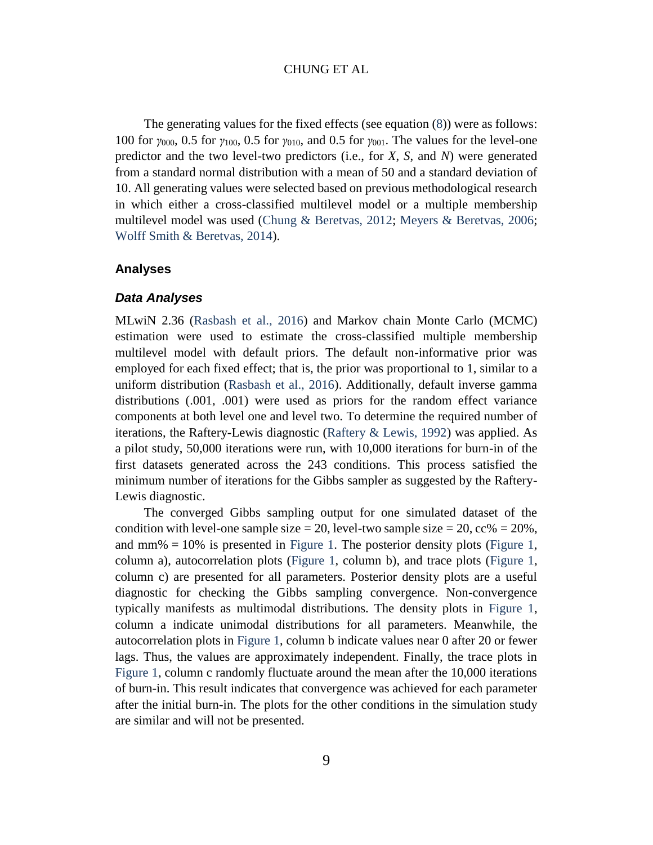The generating values for the fixed effects (see equation [\(8\)](#page-8-0)) were as follows: 100 for *γ*000, 0.5 for *γ*100, 0.5 for *γ*010, and 0.5 for *γ*001. The values for the level-one predictor and the two level-two predictors (i.e., for *X*, *S*, and *N*) were generated from a standard normal distribution with a mean of 50 and a standard deviation of 10. All generating values were selected based on previous methodological research in which either a cross-classified multilevel model or a multiple membership multilevel model was used [\(Chung & Beretvas, 2012;](#page-20-7) [Meyers & Beretvas, 2006;](#page-21-4) [Wolff Smith & Beretvas, 2014\)](#page-22-2).

#### **Analyses**

#### *Data Analyses*

MLwiN 2.36 [\(Rasbash et al., 2016\)](#page-22-1) and Markov chain Monte Carlo (MCMC) estimation were used to estimate the cross-classified multiple membership multilevel model with default priors. The default non-informative prior was employed for each fixed effect; that is, the prior was proportional to 1, similar to a uniform distribution [\(Rasbash et al., 2016\)](#page-22-1). Additionally, default inverse gamma distributions (.001, .001) were used as priors for the random effect variance components at both level one and level two. To determine the required number of iterations, the Raftery-Lewis diagnostic [\(Raftery & Lewis, 1992\)](#page-21-9) was applied. As a pilot study, 50,000 iterations were run, with 10,000 iterations for burn-in of the first datasets generated across the 243 conditions. This process satisfied the minimum number of iterations for the Gibbs sampler as suggested by the Raftery-Lewis diagnostic.

The converged Gibbs sampling output for one simulated dataset of the condition with level-one sample size = 20, level-two sample size = 20, cc% =  $20\%$ , and  $\text{mm}\% = 10\%$  is presented in [Figure 1.](#page-10-0) The posterior density plots [\(Figure 1,](#page-10-0) column a), autocorrelation plots [\(Figure 1,](#page-10-0) column b), and trace plots [\(Figure 1,](#page-10-0) column c) are presented for all parameters. Posterior density plots are a useful diagnostic for checking the Gibbs sampling convergence. Non-convergence typically manifests as multimodal distributions. The density plots in [Figure 1,](#page-10-0) column a indicate unimodal distributions for all parameters. Meanwhile, the autocorrelation plots in [Figure 1,](#page-10-0) column b indicate values near 0 after 20 or fewer lags. Thus, the values are approximately independent. Finally, the trace plots in [Figure 1,](#page-10-0) column c randomly fluctuate around the mean after the 10,000 iterations of burn-in. This result indicates that convergence was achieved for each parameter after the initial burn-in. The plots for the other conditions in the simulation study are similar and will not be presented.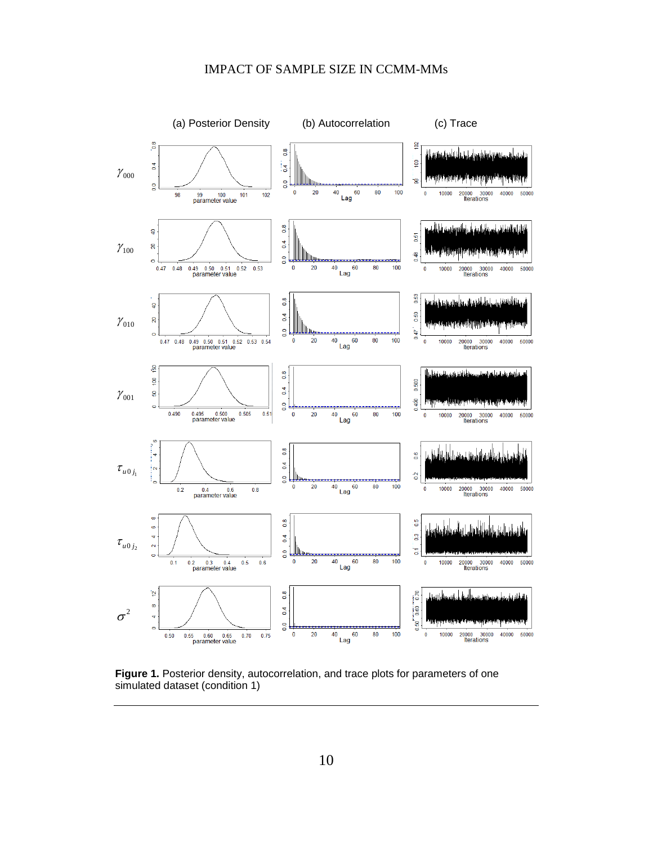

<span id="page-10-0"></span>**Figure 1.** Posterior density, autocorrelation, and trace plots for parameters of one simulated dataset (condition 1)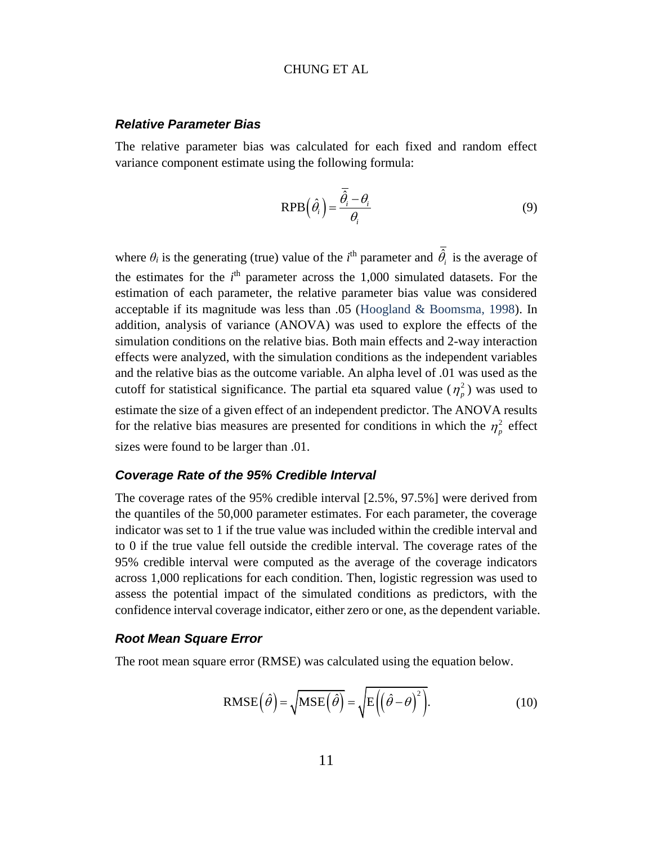#### *Relative Parameter Bias*

The relative parameter bias was calculated for each fixed and random effect variance component estimate using the following formula:

$$
RPB\left(\hat{\theta}_i\right) = \frac{\overline{\hat{\theta}_i} - \theta_i}{\theta_i} \tag{9}
$$

where  $\theta_i$  is the generating (true) value of the *i*<sup>th</sup> parameter and  $\hat{\theta}_i$  is the average of the estimates for the  $i<sup>th</sup>$  parameter across the 1,000 simulated datasets. For the estimation of each parameter, the relative parameter bias value was considered acceptable if its magnitude was less than .05 [\(Hoogland & Boomsma, 1998\)](#page-20-8). In addition, analysis of variance (ANOVA) was used to explore the effects of the simulation conditions on the relative bias. Both main effects and 2-way interaction effects were analyzed, with the simulation conditions as the independent variables and the relative bias as the outcome variable. An alpha level of .01 was used as the cutoff for statistical significance. The partial eta squared value  $(\eta_p^2)$  was used to estimate the size of a given effect of an independent predictor. The ANOVA results for the relative bias measures are presented for conditions in which the  $\eta_p^2$  effect sizes were found to be larger than .01.

#### *Coverage Rate of the 95% Credible Interval*

The coverage rates of the 95% credible interval [2.5%, 97.5%] were derived from the quantiles of the 50,000 parameter estimates. For each parameter, the coverage indicator was set to 1 if the true value was included within the credible interval and to 0 if the true value fell outside the credible interval. The coverage rates of the 95% credible interval were computed as the average of the coverage indicators across 1,000 replications for each condition. Then, logistic regression was used to assess the potential impact of the simulated conditions as predictors, with the confidence interval coverage indicator, either zero or one, as the dependent variable.

#### *Root Mean Square Error*

The root mean square error (RMSE) was calculated using the equation below.

RMSE
$$
(\hat{\theta}) = \sqrt{\text{MSE}(\hat{\theta})} = \sqrt{E((\hat{\theta} - \theta)^2)}
$$
. (10)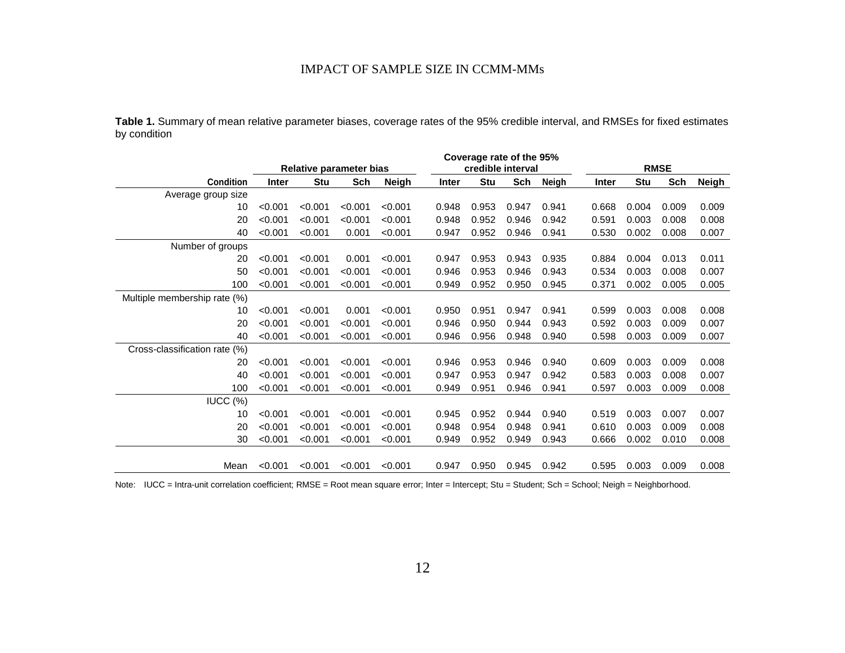|              | Table 1. Summary of mean relative parameter biases, coverage rates of the 95% credible interval, and RMSEs for fixed estimates |  |  |  |  |  |  |  |
|--------------|--------------------------------------------------------------------------------------------------------------------------------|--|--|--|--|--|--|--|
| by condition |                                                                                                                                |  |  |  |  |  |  |  |

<span id="page-12-0"></span>

|                               |         |                                |                   |              | Coverage rate of the 95% |            |             |       |       |       |       |       |
|-------------------------------|---------|--------------------------------|-------------------|--------------|--------------------------|------------|-------------|-------|-------|-------|-------|-------|
|                               |         | <b>Relative parameter bias</b> | credible interval |              |                          |            | <b>RMSE</b> |       |       |       |       |       |
| <b>Condition</b>              | Inter   | <b>Stu</b>                     | Sch               | <b>Neigh</b> | Inter                    | <b>Stu</b> | Sch         | Neigh | Inter | Stu   | Sch   | Neigh |
| Average group size            |         |                                |                   |              |                          |            |             |       |       |       |       |       |
| 10                            | < 0.001 | < 0.001                        | < 0.001           | < 0.001      | 0.948                    | 0.953      | 0.947       | 0.941 | 0.668 | 0.004 | 0.009 | 0.009 |
| 20                            | < 0.001 | < 0.001                        | < 0.001           | < 0.001      | 0.948                    | 0.952      | 0.946       | 0.942 | 0.591 | 0.003 | 0.008 | 0.008 |
| 40                            | < 0.001 | < 0.001                        | 0.001             | < 0.001      | 0.947                    | 0.952      | 0.946       | 0.941 | 0.530 | 0.002 | 0.008 | 0.007 |
| Number of groups              |         |                                |                   |              |                          |            |             |       |       |       |       |       |
| 20                            | < 0.001 | < 0.001                        | 0.001             | < 0.001      | 0.947                    | 0.953      | 0.943       | 0.935 | 0.884 | 0.004 | 0.013 | 0.011 |
| 50                            | < 0.001 | < 0.001                        | < 0.001           | < 0.001      | 0.946                    | 0.953      | 0.946       | 0.943 | 0.534 | 0.003 | 0.008 | 0.007 |
| 100                           | < 0.001 | < 0.001                        | < 0.001           | < 0.001      | 0.949                    | 0.952      | 0.950       | 0.945 | 0.371 | 0.002 | 0.005 | 0.005 |
| Multiple membership rate (%)  |         |                                |                   |              |                          |            |             |       |       |       |       |       |
| 10                            | < 0.001 | < 0.001                        | 0.001             | < 0.001      | 0.950                    | 0.951      | 0.947       | 0.941 | 0.599 | 0.003 | 0.008 | 0.008 |
| 20                            | < 0.001 | < 0.001                        | < 0.001           | < 0.001      | 0.946                    | 0.950      | 0.944       | 0.943 | 0.592 | 0.003 | 0.009 | 0.007 |
| 40                            | < 0.001 | < 0.001                        | < 0.001           | < 0.001      | 0.946                    | 0.956      | 0.948       | 0.940 | 0.598 | 0.003 | 0.009 | 0.007 |
| Cross-classification rate (%) |         |                                |                   |              |                          |            |             |       |       |       |       |       |
| 20                            | < 0.001 | < 0.001                        | < 0.001           | < 0.001      | 0.946                    | 0.953      | 0.946       | 0.940 | 0.609 | 0.003 | 0.009 | 0.008 |
| 40                            | < 0.001 | < 0.001                        | < 0.001           | < 0.001      | 0.947                    | 0.953      | 0.947       | 0.942 | 0.583 | 0.003 | 0.008 | 0.007 |
| 100                           | < 0.001 | < 0.001                        | < 0.001           | < 0.001      | 0.949                    | 0.951      | 0.946       | 0.941 | 0.597 | 0.003 | 0.009 | 0.008 |
| $IUCC$ $(\%)$                 |         |                                |                   |              |                          |            |             |       |       |       |       |       |
| 10                            | < 0.001 | < 0.001                        | < 0.001           | < 0.001      | 0.945                    | 0.952      | 0.944       | 0.940 | 0.519 | 0.003 | 0.007 | 0.007 |
| 20                            | < 0.001 | < 0.001                        | < 0.001           | < 0.001      | 0.948                    | 0.954      | 0.948       | 0.941 | 0.610 | 0.003 | 0.009 | 0.008 |
| 30                            | < 0.001 | < 0.001                        | < 0.001           | < 0.001      | 0.949                    | 0.952      | 0.949       | 0.943 | 0.666 | 0.002 | 0.010 | 0.008 |
|                               |         |                                |                   |              |                          |            |             |       |       |       |       |       |
| Mean                          | < 0.001 | < 0.001                        | < 0.001           | < 0.001      | 0.947                    | 0.950      | 0.945       | 0.942 | 0.595 | 0.003 | 0.009 | 0.008 |

Note: IUCC = Intra-unit correlation coefficient; RMSE = Root mean square error; Inter = Intercept; Stu = Student; Sch = School; Neigh = Neighborhood.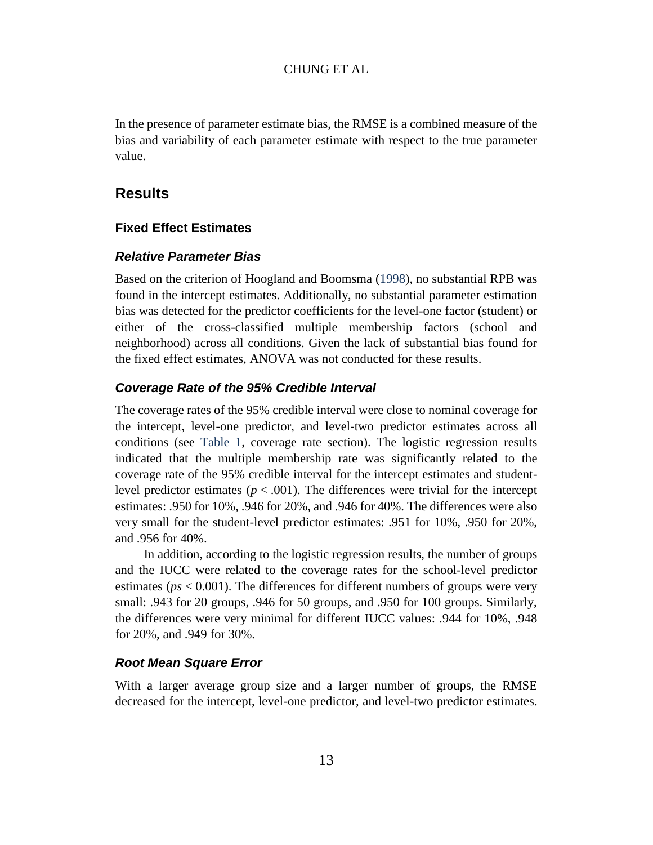In the presence of parameter estimate bias, the RMSE is a combined measure of the bias and variability of each parameter estimate with respect to the true parameter value.

## **Results**

#### **Fixed Effect Estimates**

#### *Relative Parameter Bias*

Based on the criterion of Hoogland and Boomsma [\(1998\)](#page-20-8), no substantial RPB was found in the intercept estimates. Additionally, no substantial parameter estimation bias was detected for the predictor coefficients for the level-one factor (student) or either of the cross-classified multiple membership factors (school and neighborhood) across all conditions. Given the lack of substantial bias found for the fixed effect estimates, ANOVA was not conducted for these results.

#### *Coverage Rate of the 95% Credible Interval*

The coverage rates of the 95% credible interval were close to nominal coverage for the intercept, level-one predictor, and level-two predictor estimates across all conditions (see [Table 1,](#page-12-0) coverage rate section). The logistic regression results indicated that the multiple membership rate was significantly related to the coverage rate of the 95% credible interval for the intercept estimates and studentlevel predictor estimates ( $p < .001$ ). The differences were trivial for the intercept estimates: .950 for 10%, .946 for 20%, and .946 for 40%. The differences were also very small for the student-level predictor estimates: .951 for 10%, .950 for 20%, and .956 for 40%.

In addition, according to the logistic regression results, the number of groups and the IUCC were related to the coverage rates for the school-level predictor estimates (*ps* < 0.001). The differences for different numbers of groups were very small: .943 for 20 groups, .946 for 50 groups, and .950 for 100 groups. Similarly, the differences were very minimal for different IUCC values: .944 for 10%, .948 for 20%, and .949 for 30%.

### *Root Mean Square Error*

With a larger average group size and a larger number of groups, the RMSE decreased for the intercept, level-one predictor, and level-two predictor estimates.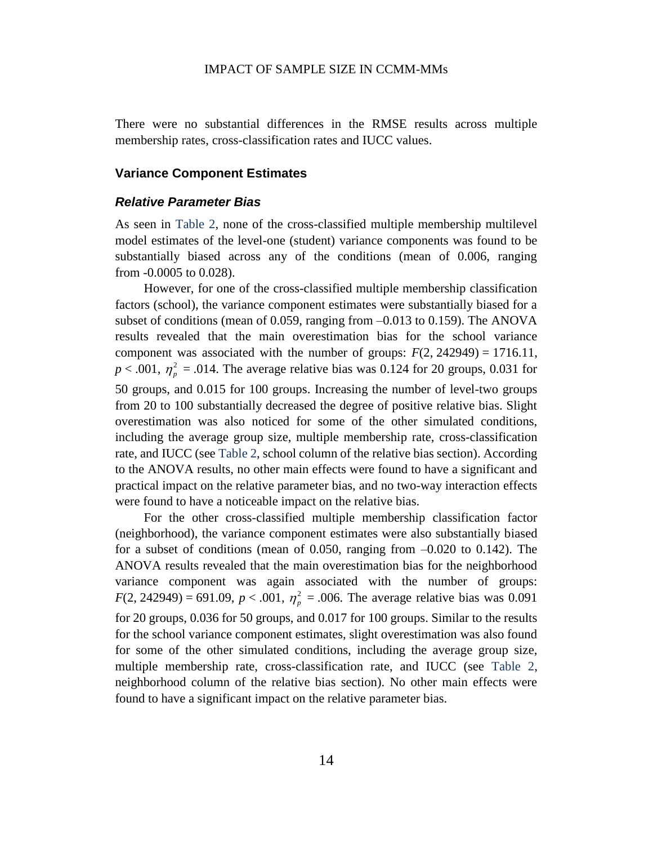There were no substantial differences in the RMSE results across multiple membership rates, cross-classification rates and IUCC values.

#### **Variance Component Estimates**

#### *Relative Parameter Bias*

As seen in [Table 2,](#page-15-0) none of the cross-classified multiple membership multilevel model estimates of the level-one (student) variance components was found to be substantially biased across any of the conditions (mean of 0.006, ranging from -0.0005 to 0.028).

However, for one of the cross-classified multiple membership classification factors (school), the variance component estimates were substantially biased for a subset of conditions (mean of 0.059, ranging from –0.013 to 0.159). The ANOVA results revealed that the main overestimation bias for the school variance component was associated with the number of groups:  $F(2, 242949) = 1716.11$ ,  $p < .001$ ,  $\eta_p^2 = .014$ . The average relative bias was 0.124 for 20 groups, 0.031 for 50 groups, and 0.015 for 100 groups. Increasing the number of level-two groups from 20 to 100 substantially decreased the degree of positive relative bias. Slight overestimation was also noticed for some of the other simulated conditions, including the average group size, multiple membership rate, cross-classification rate, and IUCC (see [Table 2,](#page-15-0) school column of the relative bias section). According to the ANOVA results, no other main effects were found to have a significant and practical impact on the relative parameter bias, and no two-way interaction effects were found to have a noticeable impact on the relative bias.

For the other cross-classified multiple membership classification factor (neighborhood), the variance component estimates were also substantially biased for a subset of conditions (mean of 0.050, ranging from  $-0.020$  to 0.142). The ANOVA results revealed that the main overestimation bias for the neighborhood variance component was again associated with the number of groups:  $F(2, 242949) = 691.09, p < .001, \eta_p^2 = .006$ . The average relative bias was 0.091 for 20 groups, 0.036 for 50 groups, and 0.017 for 100 groups. Similar to the results for the school variance component estimates, slight overestimation was also found for some of the other simulated conditions, including the average group size, multiple membership rate, cross-classification rate, and IUCC (see [Table 2,](#page-15-0) neighborhood column of the relative bias section). No other main effects were found to have a significant impact on the relative parameter bias.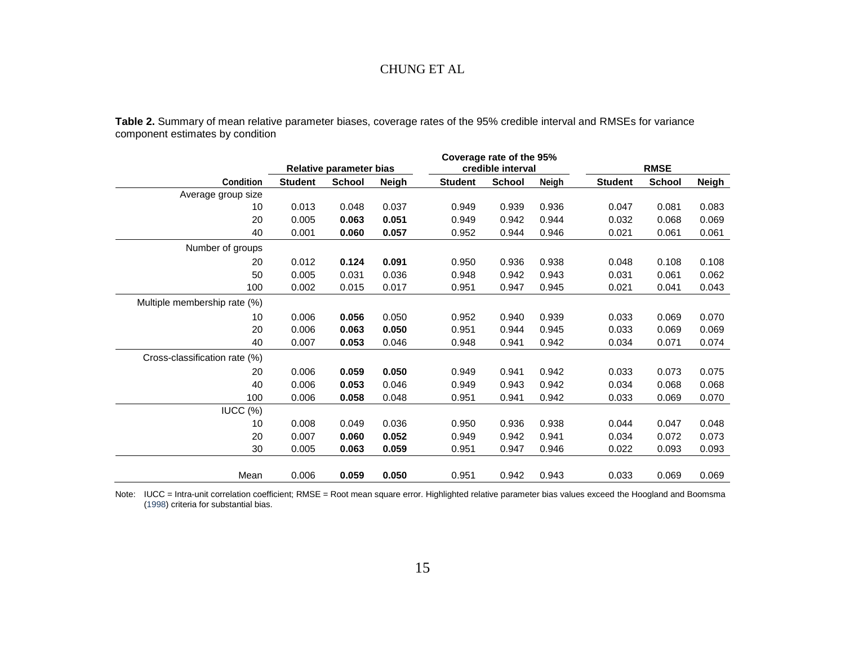**Table 2.** Summary of mean relative parameter biases, coverage rates of the 95% credible interval and RMSEs for variance component estimates by condition

<span id="page-15-0"></span>

|                               |                         | Coverage rate of the 95% |              |                |                   |              |                |        |       |  |
|-------------------------------|-------------------------|--------------------------|--------------|----------------|-------------------|--------------|----------------|--------|-------|--|
|                               | Relative parameter bias |                          |              |                | credible interval |              | <b>RMSE</b>    |        |       |  |
| <b>Condition</b>              | <b>Student</b>          | <b>School</b>            | <b>Neigh</b> | <b>Student</b> | <b>School</b>     | <b>Neigh</b> | <b>Student</b> | School | Neigh |  |
| Average group size            |                         |                          |              |                |                   |              |                |        |       |  |
| 10                            | 0.013                   | 0.048                    | 0.037        | 0.949          | 0.939             | 0.936        | 0.047          | 0.081  | 0.083 |  |
| 20                            | 0.005                   | 0.063                    | 0.051        | 0.949          | 0.942             | 0.944        | 0.032          | 0.068  | 0.069 |  |
| 40                            | 0.001                   | 0.060                    | 0.057        | 0.952          | 0.944             | 0.946        | 0.021          | 0.061  | 0.061 |  |
| Number of groups              |                         |                          |              |                |                   |              |                |        |       |  |
| 20                            | 0.012                   | 0.124                    | 0.091        | 0.950          | 0.936             | 0.938        | 0.048          | 0.108  | 0.108 |  |
| 50                            | 0.005                   | 0.031                    | 0.036        | 0.948          | 0.942             | 0.943        | 0.031          | 0.061  | 0.062 |  |
| 100                           | 0.002                   | 0.015                    | 0.017        | 0.951          | 0.947             | 0.945        | 0.021          | 0.041  | 0.043 |  |
| Multiple membership rate (%)  |                         |                          |              |                |                   |              |                |        |       |  |
| 10                            | 0.006                   | 0.056                    | 0.050        | 0.952          | 0.940             | 0.939        | 0.033          | 0.069  | 0.070 |  |
| 20                            | 0.006                   | 0.063                    | 0.050        | 0.951          | 0.944             | 0.945        | 0.033          | 0.069  | 0.069 |  |
| 40                            | 0.007                   | 0.053                    | 0.046        | 0.948          | 0.941             | 0.942        | 0.034          | 0.071  | 0.074 |  |
| Cross-classification rate (%) |                         |                          |              |                |                   |              |                |        |       |  |
| 20                            | 0.006                   | 0.059                    | 0.050        | 0.949          | 0.941             | 0.942        | 0.033          | 0.073  | 0.075 |  |
| 40                            | 0.006                   | 0.053                    | 0.046        | 0.949          | 0.943             | 0.942        | 0.034          | 0.068  | 0.068 |  |
| 100                           | 0.006                   | 0.058                    | 0.048        | 0.951          | 0.941             | 0.942        | 0.033          | 0.069  | 0.070 |  |
| $IUCC$ $(%)$                  |                         |                          |              |                |                   |              |                |        |       |  |
| 10                            | 0.008                   | 0.049                    | 0.036        | 0.950          | 0.936             | 0.938        | 0.044          | 0.047  | 0.048 |  |
| 20                            | 0.007                   | 0.060                    | 0.052        | 0.949          | 0.942             | 0.941        | 0.034          | 0.072  | 0.073 |  |
| 30                            | 0.005                   | 0.063                    | 0.059        | 0.951          | 0.947             | 0.946        | 0.022          | 0.093  | 0.093 |  |
|                               |                         |                          |              |                |                   |              |                |        |       |  |
| Mean                          | 0.006                   | 0.059                    | 0.050        | 0.951          | 0.942             | 0.943        | 0.033          | 0.069  | 0.069 |  |

Note: IUCC = Intra-unit correlation coefficient; RMSE = Root mean square error. Highlighted relative parameter bias values exceed the Hoogland and Boomsma [\(1998\)](#page-20-9) criteria for substantial bias.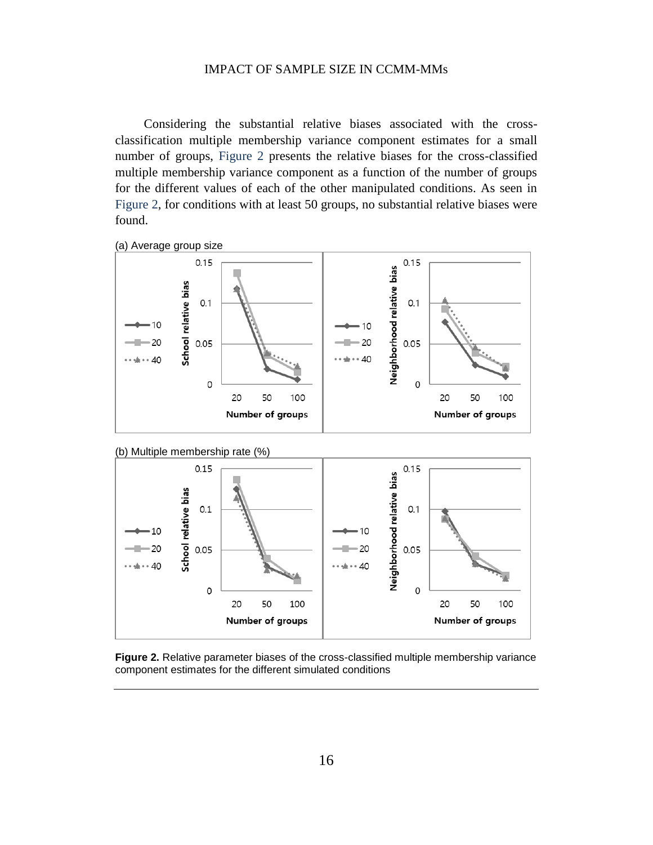Considering the substantial relative biases associated with the crossclassification multiple membership variance component estimates for a small number of groups, [Figure 2](#page-16-0) presents the relative biases for the cross-classified multiple membership variance component as a function of the number of groups for the different values of each of the other manipulated conditions. As seen in [Figure 2,](#page-16-0) for conditions with at least 50 groups, no substantial relative biases were found.







<span id="page-16-0"></span>**Figure 2.** Relative parameter biases of the cross-classified multiple membership variance component estimates for the different simulated conditions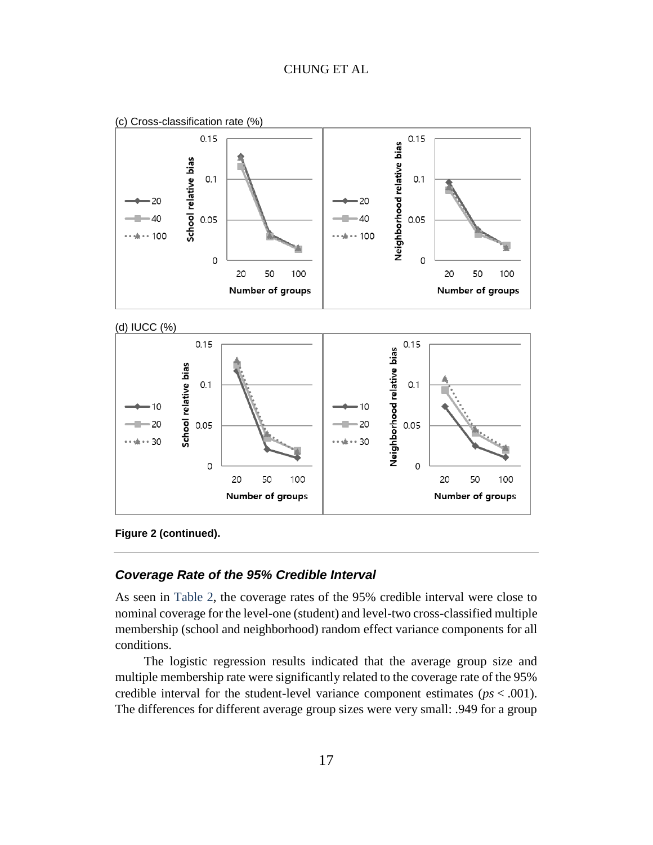

**Figure 2 (continued).**

#### *Coverage Rate of the 95% Credible Interval*

As seen in [Table 2,](#page-15-0) the coverage rates of the 95% credible interval were close to nominal coverage for the level-one (student) and level-two cross-classified multiple membership (school and neighborhood) random effect variance components for all conditions.

The logistic regression results indicated that the average group size and multiple membership rate were significantly related to the coverage rate of the 95% credible interval for the student-level variance component estimates (*ps* < .001). The differences for different average group sizes were very small: .949 for a group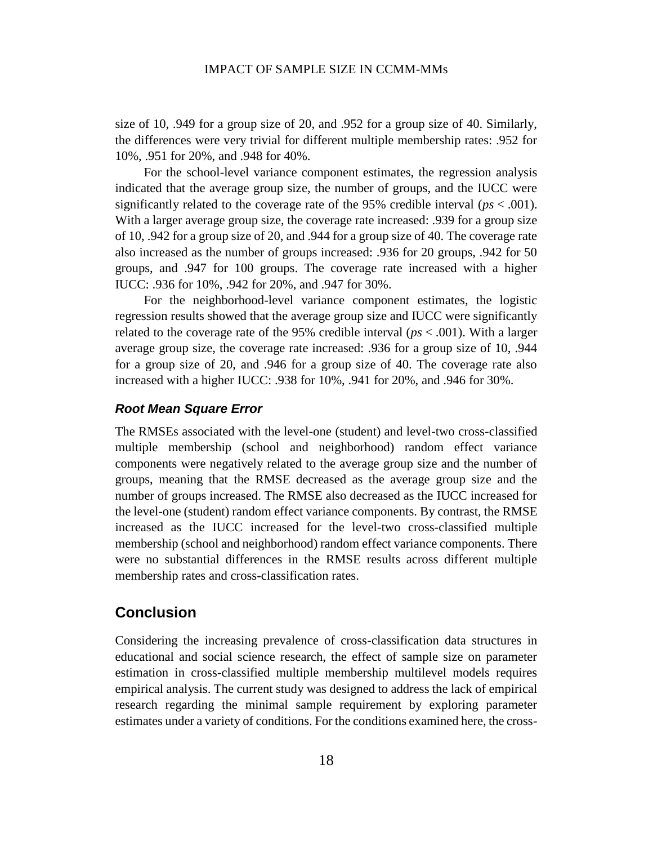size of 10, .949 for a group size of 20, and .952 for a group size of 40. Similarly, the differences were very trivial for different multiple membership rates: .952 for 10%, .951 for 20%, and .948 for 40%.

For the school-level variance component estimates, the regression analysis indicated that the average group size, the number of groups, and the IUCC were significantly related to the coverage rate of the 95% credible interval (*ps* < .001). With a larger average group size, the coverage rate increased: .939 for a group size of 10, .942 for a group size of 20, and .944 for a group size of 40. The coverage rate also increased as the number of groups increased: .936 for 20 groups, .942 for 50 groups, and .947 for 100 groups. The coverage rate increased with a higher IUCC: .936 for 10%, .942 for 20%, and .947 for 30%.

For the neighborhood-level variance component estimates, the logistic regression results showed that the average group size and IUCC were significantly related to the coverage rate of the 95% credible interval ( $ps < .001$ ). With a larger average group size, the coverage rate increased: .936 for a group size of 10, .944 for a group size of 20, and .946 for a group size of 40. The coverage rate also increased with a higher IUCC: .938 for 10%, .941 for 20%, and .946 for 30%.

#### *Root Mean Square Error*

The RMSEs associated with the level-one (student) and level-two cross-classified multiple membership (school and neighborhood) random effect variance components were negatively related to the average group size and the number of groups, meaning that the RMSE decreased as the average group size and the number of groups increased. The RMSE also decreased as the IUCC increased for the level-one (student) random effect variance components. By contrast, the RMSE increased as the IUCC increased for the level-two cross-classified multiple membership (school and neighborhood) random effect variance components. There were no substantial differences in the RMSE results across different multiple membership rates and cross-classification rates.

## **Conclusion**

Considering the increasing prevalence of cross-classification data structures in educational and social science research, the effect of sample size on parameter estimation in cross-classified multiple membership multilevel models requires empirical analysis. The current study was designed to address the lack of empirical research regarding the minimal sample requirement by exploring parameter estimates under a variety of conditions. For the conditions examined here, the cross-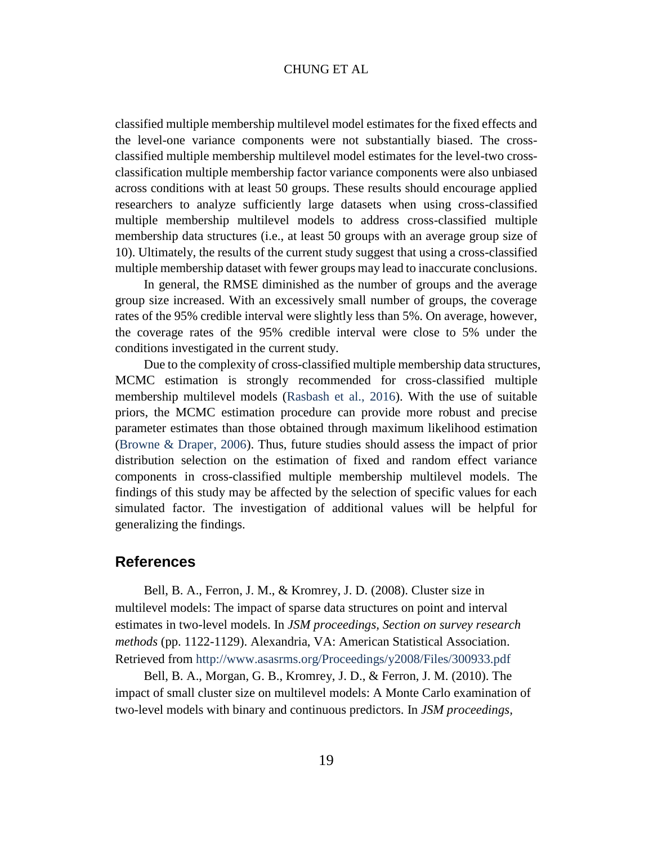classified multiple membership multilevel model estimates for the fixed effects and the level-one variance components were not substantially biased. The crossclassified multiple membership multilevel model estimates for the level-two crossclassification multiple membership factor variance components were also unbiased across conditions with at least 50 groups. These results should encourage applied researchers to analyze sufficiently large datasets when using cross-classified multiple membership multilevel models to address cross-classified multiple membership data structures (i.e., at least 50 groups with an average group size of 10). Ultimately, the results of the current study suggest that using a cross-classified multiple membership dataset with fewer groups may lead to inaccurate conclusions.

In general, the RMSE diminished as the number of groups and the average group size increased. With an excessively small number of groups, the coverage rates of the 95% credible interval were slightly less than 5%. On average, however, the coverage rates of the 95% credible interval were close to 5% under the conditions investigated in the current study.

Due to the complexity of cross-classified multiple membership data structures, MCMC estimation is strongly recommended for cross-classified multiple membership multilevel models [\(Rasbash et al., 2016\)](#page-22-1). With the use of suitable priors, the MCMC estimation procedure can provide more robust and precise parameter estimates than those obtained through maximum likelihood estimation [\(Browne & Draper, 2006\)](#page-20-10). Thus, future studies should assess the impact of prior distribution selection on the estimation of fixed and random effect variance components in cross-classified multiple membership multilevel models. The findings of this study may be affected by the selection of specific values for each simulated factor. The investigation of additional values will be helpful for generalizing the findings.

#### **References**

<span id="page-19-0"></span>Bell, B. A., Ferron, J. M., & Kromrey, J. D. (2008). Cluster size in multilevel models: The impact of sparse data structures on point and interval estimates in two-level models. In *JSM proceedings, Section on survey research methods* (pp. 1122-1129). Alexandria, VA: American Statistical Association. Retrieved from<http://www.asasrms.org/Proceedings/y2008/Files/300933.pdf>

<span id="page-19-1"></span>Bell, B. A., Morgan, G. B., Kromrey, J. D., & Ferron, J. M. (2010). The impact of small cluster size on multilevel models: A Monte Carlo examination of two-level models with binary and continuous predictors. In *JSM proceedings,*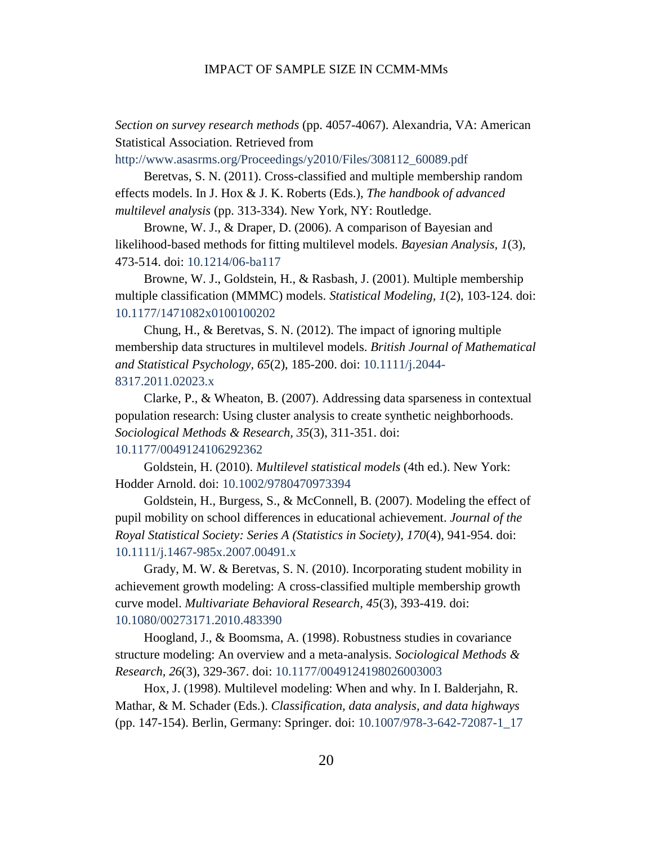*Section on survey research methods* (pp. 4057-4067). Alexandria, VA: American Statistical Association. Retrieved from

[http://www.asasrms.org/Proceedings/y2010/Files/308112\\_60089.pdf](http://www.asasrms.org/Proceedings/y2010/Files/308112_60089.pdf)

<span id="page-20-3"></span>Beretvas, S. N. (2011). Cross-classified and multiple membership random effects models. In J. Hox & J. K. Roberts (Eds.), *The handbook of advanced multilevel analysis* (pp. 313-334). New York, NY: Routledge.

<span id="page-20-10"></span>Browne, W. J., & Draper, D. (2006). A comparison of Bayesian and likelihood-based methods for fitting multilevel models. *Bayesian Analysis, 1*(3), 473-514. doi: [10.1214/06-ba117](https://dx.doi.org/10.1214/06-ba117)

<span id="page-20-1"></span>Browne, W. J., Goldstein, H., & Rasbash, J. (2001). Multiple membership multiple classification (MMMC) models. *Statistical Modeling, 1*(2), 103-124. doi: [10.1177/1471082x0100100202](https://dx.doi.org/10.1177/1471082x0100100202)

<span id="page-20-7"></span>Chung, H., & Beretvas, S. N. (2012). The impact of ignoring multiple membership data structures in multilevel models. *British Journal of Mathematical and Statistical Psychology, 65*(2), 185-200. doi: [10.1111/j.2044-](https://dx.doi.org/10.1111/j.2044-8317.2011.02023.x) [8317.2011.02023.x](https://dx.doi.org/10.1111/j.2044-8317.2011.02023.x)

<span id="page-20-5"></span>Clarke, P., & Wheaton, B. (2007). Addressing data sparseness in contextual population research: Using cluster analysis to create synthetic neighborhoods. *Sociological Methods & Research, 35*(3), 311-351. doi: [10.1177/0049124106292362](https://dx.doi.org/10.1177/0049124106292362)

<span id="page-20-9"></span><span id="page-20-0"></span>Goldstein, H. (2010). *Multilevel statistical models* (4th ed.). New York: Hodder Arnold. doi: [10.1002/9780470973394](https://dx.doi.org/10.1002/9780470973394)

<span id="page-20-2"></span>Goldstein, H., Burgess, S., & McConnell, B. (2007). Modeling the effect of pupil mobility on school differences in educational achievement. *Journal of the Royal Statistical Society: Series A (Statistics in Society), 170*(4), 941-954. doi: [10.1111/j.1467-985x.2007.00491.x](https://dx.doi.org/10.1111/j.1467-985x.2007.00491.x)

<span id="page-20-6"></span>Grady, M. W. & Beretvas, S. N. (2010). Incorporating student mobility in achievement growth modeling: A cross-classified multiple membership growth curve model. *Multivariate Behavioral Research, 45*(3), 393-419. doi: [10.1080/00273171.2010.483390](https://dx.doi.org/10.1080/00273171.2010.483390)

<span id="page-20-8"></span>Hoogland, J., & Boomsma, A. (1998). Robustness studies in covariance structure modeling: An overview and a meta-analysis. *Sociological Methods & Research, 26*(3), 329-367. doi: [10.1177/0049124198026003003](https://dx.doi.org/10.1177/0049124198026003003)

<span id="page-20-4"></span>Hox, J. (1998). Multilevel modeling: When and why. In I. Balderjahn, R. Mathar, & M. Schader (Eds.). *Classification, data analysis, and data highways* (pp. 147-154). Berlin, Germany: Springer. doi: [10.1007/978-3-642-72087-1\\_17](https://dx.doi.org/10.1007/978-3-642-72087-1_17)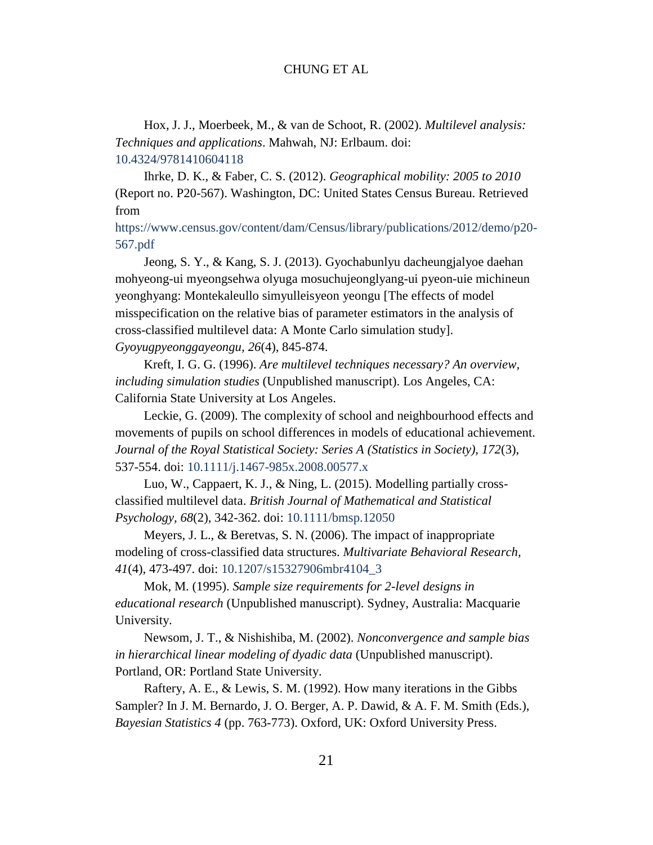<span id="page-21-7"></span>Hox, J. J., Moerbeek, M., & van de Schoot, R. (2002). *Multilevel analysis: Techniques and applications*. Mahwah, NJ: Erlbaum. doi: [10.4324/9781410604118](https://dx.doi.org/10.4324/9781410604118)

<span id="page-21-5"></span>Ihrke, D. K., & Faber, C. S. (2012). *Geographical mobility: 2005 to 2010* (Report no. P20-567). Washington, DC: United States Census Bureau. Retrieved from

[https://www.census.gov/content/dam/Census/library/publications/2012/demo/p20-](https://www.census.gov/content/dam/Census/library/publications/2012/demo/p20-567.pdf) [567.pdf](https://www.census.gov/content/dam/Census/library/publications/2012/demo/p20-567.pdf)

<span id="page-21-6"></span>Jeong, S. Y., & Kang, S. J. (2013). Gyochabunlyu dacheungjalyoe daehan mohyeong-ui myeongsehwa olyuga mosuchujeonglyang-ui pyeon-uie michineun yeonghyang: Montekaleullo simyulleisyeon yeongu [The effects of model misspecification on the relative bias of parameter estimators in the analysis of cross-classified multilevel data: A Monte Carlo simulation study]. *Gyoyugpyeonggayeongu, 26*(4), 845-874.

<span id="page-21-1"></span>Kreft, I. G. G. (1996). *Are multilevel techniques necessary? An overview, including simulation studies* (Unpublished manuscript). Los Angeles, CA: California State University at Los Angeles.

<span id="page-21-0"></span>Leckie, G. (2009). The complexity of school and neighbourhood effects and movements of pupils on school differences in models of educational achievement. *Journal of the Royal Statistical Society: Series A (Statistics in Society), 172*(3), 537-554. doi: [10.1111/j.1467-985x.2008.00577.x](https://dx.doi.org/10.1111/j.1467-985x.2008.00577.x)

<span id="page-21-8"></span>Luo, W., Cappaert, K. J., & Ning, L. (2015). Modelling partially crossclassified multilevel data. *British Journal of Mathematical and Statistical Psychology, 68*(2), 342-362. doi: [10.1111/bmsp.12050](https://dx.doi.org/10.1111/bmsp.12050)

<span id="page-21-4"></span>Meyers, J. L., & Beretvas, S. N. (2006). The impact of inappropriate modeling of cross-classified data structures. *Multivariate Behavioral Research, 41*(4), 473-497. doi: [10.1207/s15327906mbr4104\\_3](https://dx.doi.org/10.1207/s15327906mbr4104_3)

<span id="page-21-3"></span>Mok, M. (1995). *Sample size requirements for 2-level designs in educational research* (Unpublished manuscript). Sydney, Australia: Macquarie University.

<span id="page-21-2"></span>Newsom, J. T., & Nishishiba, M. (2002). *Nonconvergence and sample bias in hierarchical linear modeling of dyadic data* (Unpublished manuscript). Portland, OR: Portland State University.

<span id="page-21-9"></span>Raftery, A. E., & Lewis, S. M. (1992). How many iterations in the Gibbs Sampler? In J. M. Bernardo, J. O. Berger, A. P. Dawid, & A. F. M. Smith (Eds.), *Bayesian Statistics 4* (pp. 763-773). Oxford, UK: Oxford University Press.